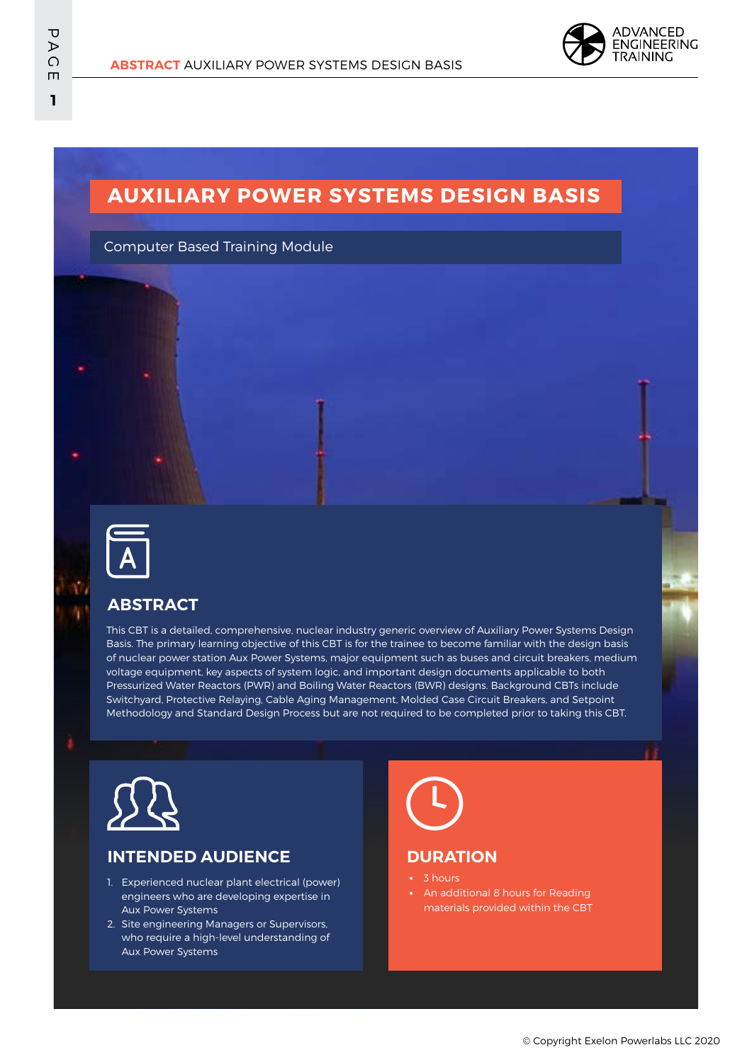

## **AUXILIARY POWER SYSTEMS DESIGN BASIS**

Computer Based Training Module



### **ABSTRACT**

This CBT is a detailed, comprehensive, nuclear industry generic overview of Auxiliary Power Systems Design Basis. The primary learning objective of this CBT is for the trainee to become familiar with the design basis of nuclear power station Aux Power Systems, major equipment such as buses and circuit breakers, medium voltage equipment, key aspects of system logic, and important design documents applicable to both Pressurized Water Reactors (PWR) and Boiling Water Reactors (BWR) designs. Background CBTs include Switchyard, Protective Relaying, Cable Aging Management, Molded Case Circuit Breakers, and Setpoint Methodology and Standard Design Process but are not required to be completed prior to taking this CBT.



#### **INTENDED AUDIENCE**

- 1. Experienced nuclear plant electrical (power) engineers who are developing expertise in Aux Power Systems
- 2. Site engineering Managers or Supervisors, who require a high-level understanding of Aux Power Systems

### **DURATION**

- **3** hours
- An additional 8 hours for Reading materials provided within the CBT